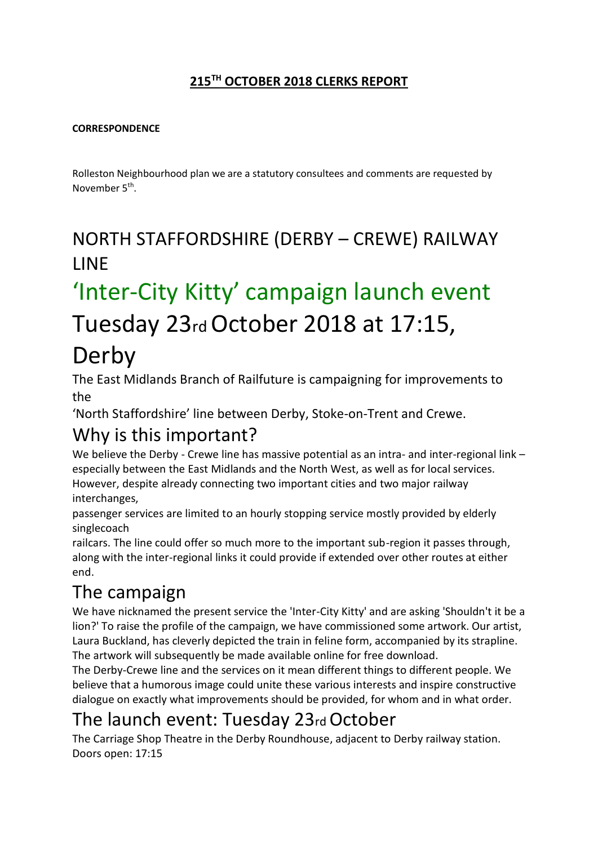#### **215TH OCTOBER 2018 CLERKS REPORT**

#### **CORRESPONDENCE**

Rolleston Neighbourhood plan we are a statutory consultees and comments are requested by November 5<sup>th</sup>.

## NORTH STAFFORDSHIRE (DERBY – CREWE) RAILWAY **LINE**

# 'Inter-City Kitty' campaign launch event Tuesday 23rd October 2018 at 17:15,

## Derby

The East Midlands Branch of Railfuture is campaigning for improvements to the

'North Staffordshire' line between Derby, Stoke-on-Trent and Crewe.

### Why is this important?

We believe the Derby - Crewe line has massive potential as an intra- and inter-regional link – especially between the East Midlands and the North West, as well as for local services. However, despite already connecting two important cities and two major railway interchanges,

passenger services are limited to an hourly stopping service mostly provided by elderly singlecoach

railcars. The line could offer so much more to the important sub-region it passes through, along with the inter-regional links it could provide if extended over other routes at either end.

## The campaign

We have nicknamed the present service the 'Inter-City Kitty' and are asking 'Shouldn't it be a lion?' To raise the profile of the campaign, we have commissioned some artwork. Our artist, Laura Buckland, has cleverly depicted the train in feline form, accompanied by its strapline. The artwork will subsequently be made available online for free download.

The Derby-Crewe line and the services on it mean different things to different people. We believe that a humorous image could unite these various interests and inspire constructive dialogue on exactly what improvements should be provided, for whom and in what order.

## The launch event: Tuesday 23rd October

The Carriage Shop Theatre in the Derby Roundhouse, adjacent to Derby railway station. Doors open: 17:15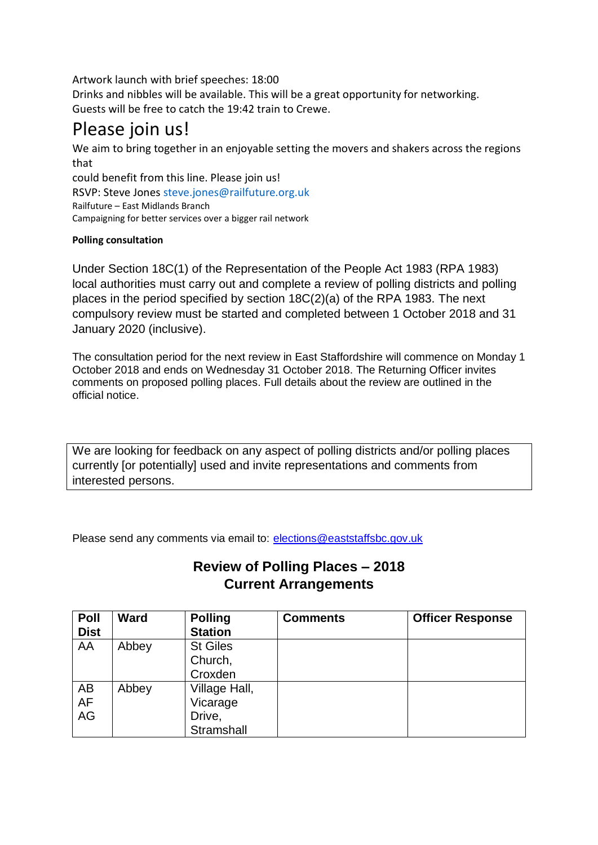Artwork launch with brief speeches: 18:00

Drinks and nibbles will be available. This will be a great opportunity for networking. Guests will be free to catch the 19:42 train to Crewe.

### Please join us!

We aim to bring together in an enjoyable setting the movers and shakers across the regions that

could benefit from this line. Please join us! RSVP: Steve Jones steve.jones@railfuture.org.uk Railfuture – East Midlands Branch Campaigning for better services over a bigger rail network

#### **Polling consultation**

Under Section 18C(1) of the Representation of the People Act 1983 (RPA 1983) local authorities must carry out and complete a review of polling districts and polling places in the period specified by section 18C(2)(a) of the RPA 1983. The next compulsory review must be started and completed between 1 October 2018 and 31 January 2020 (inclusive).

The consultation period for the next review in East Staffordshire will commence on Monday 1 October 2018 and ends on Wednesday 31 October 2018. The Returning Officer invites comments on proposed polling places. Full details about the review are outlined in the official notice.

We are looking for feedback on any aspect of polling districts and/or polling places currently [or potentially] used and invite representations and comments from interested persons.

Please send any comments via email to: [elections@eaststaffsbc.gov.uk](mailto:elections@eaststaffsbc.gov.uk)

#### **Review of Polling Places – 2018 Current Arrangements**

| <b>Poll</b><br><b>Dist</b> | <b>Ward</b> | <b>Polling</b><br><b>Station</b> | <b>Comments</b> | <b>Officer Response</b> |
|----------------------------|-------------|----------------------------------|-----------------|-------------------------|
|                            |             |                                  |                 |                         |
| AA                         | Abbey       | <b>St Giles</b>                  |                 |                         |
|                            |             | Church,                          |                 |                         |
|                            |             | Croxden                          |                 |                         |
| AB                         | Abbey       | Village Hall,                    |                 |                         |
| AF                         |             | Vicarage                         |                 |                         |
| AG                         |             | Drive,                           |                 |                         |
|                            |             | Stramshall                       |                 |                         |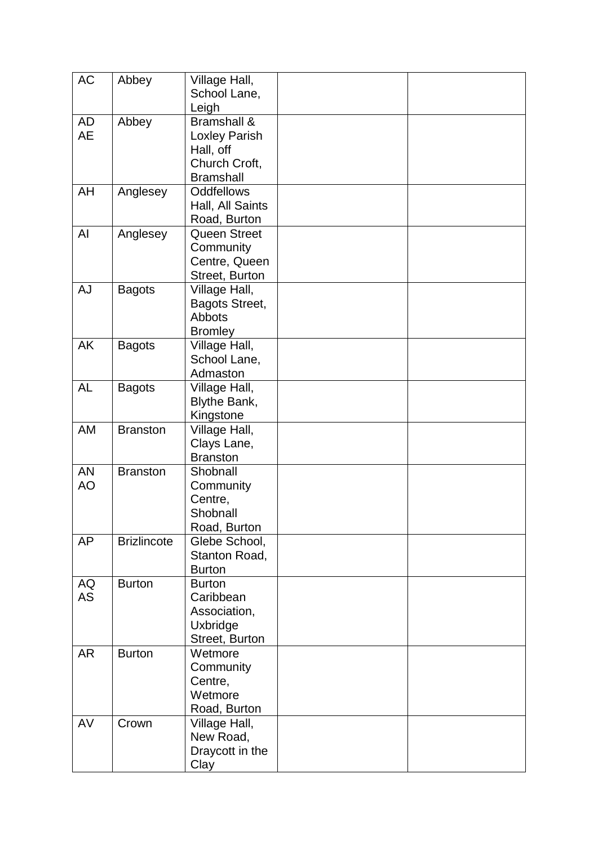| <b>AC</b>              | Abbey              | Village Hall,<br>School Lane,<br>Leigh                                                    |  |
|------------------------|--------------------|-------------------------------------------------------------------------------------------|--|
| AD<br><b>AE</b>        | Abbey              | <b>Bramshall &amp;</b><br>Loxley Parish<br>Hall, off<br>Church Croft,<br><b>Bramshall</b> |  |
| AH                     | Anglesey           | <b>Oddfellows</b><br>Hall, All Saints<br>Road, Burton                                     |  |
| Al                     | Anglesey           | <b>Queen Street</b><br>Community<br>Centre, Queen<br>Street, Burton                       |  |
| <b>AJ</b>              | <b>Bagots</b>      | Village Hall,<br>Bagots Street,<br>Abbots<br><b>Bromley</b>                               |  |
| AK                     | <b>Bagots</b>      | Village Hall,<br>School Lane,<br>Admaston                                                 |  |
| <b>AL</b>              | <b>Bagots</b>      | Village Hall,<br>Blythe Bank,<br>Kingstone                                                |  |
| AM                     | <b>Branston</b>    | Village Hall,<br>Clays Lane,<br><b>Branston</b>                                           |  |
| <b>AN</b><br><b>AO</b> | <b>Branston</b>    | Shobnall<br>Community<br>Centre,<br>Shobnall<br>Road, Burton                              |  |
| <b>AP</b>              | <b>Brizlincote</b> | Glebe School,<br>Stanton Road,<br><b>Burton</b>                                           |  |
| <b>AQ</b><br><b>AS</b> | <b>Burton</b>      | <b>Burton</b><br>Caribbean<br>Association,<br>Uxbridge<br>Street, Burton                  |  |
| <b>AR</b>              | <b>Burton</b>      | Wetmore<br>Community<br>Centre,<br>Wetmore<br>Road, Burton                                |  |
| AV                     | Crown              | Village Hall,<br>New Road,<br>Draycott in the<br>Clay                                     |  |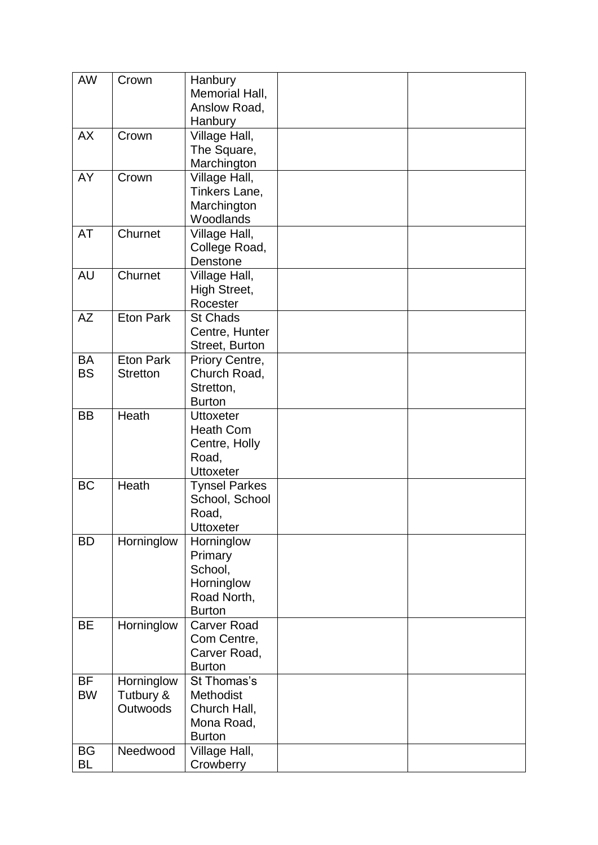| AW        | Crown                   | Hanbury<br>Memorial Hall,           |  |
|-----------|-------------------------|-------------------------------------|--|
|           |                         | Anslow Road,<br>Hanbury             |  |
| <b>AX</b> | Crown                   | Village Hall,                       |  |
|           |                         | The Square,<br>Marchington          |  |
| AY        | Crown                   | Village Hall,                       |  |
|           |                         | Tinkers Lane,<br>Marchington        |  |
|           |                         | Woodlands                           |  |
| AT        | Churnet                 | Village Hall,                       |  |
|           |                         | College Road,<br>Denstone           |  |
| <b>AU</b> | Churnet                 | Village Hall,                       |  |
|           |                         | High Street,                        |  |
|           |                         | Rocester                            |  |
| <b>AZ</b> | <b>Eton Park</b>        | <b>St Chads</b><br>Centre, Hunter   |  |
|           |                         | Street, Burton                      |  |
| <b>BA</b> | <b>Eton Park</b>        | Priory Centre,                      |  |
| <b>BS</b> | <b>Stretton</b>         | Church Road,<br>Stretton,           |  |
|           |                         | <b>Burton</b>                       |  |
| <b>BB</b> | Heath                   | <b>Uttoxeter</b>                    |  |
|           |                         | <b>Heath Com</b>                    |  |
|           |                         | Centre, Holly<br>Road,              |  |
|           |                         | <b>Uttoxeter</b>                    |  |
| <b>BC</b> | Heath                   | <b>Tynsel Parkes</b>                |  |
|           |                         | School, School<br>Road,             |  |
|           |                         | <b>Uttoxeter</b>                    |  |
| <b>BD</b> | Horninglow              | Horninglow                          |  |
|           |                         | Primary<br>School,                  |  |
|           |                         | Horninglow                          |  |
|           |                         | Road North,                         |  |
| <b>BE</b> | Horninglow              | <b>Burton</b><br><b>Carver Road</b> |  |
|           |                         | Com Centre,                         |  |
|           |                         | Carver Road,                        |  |
| BF        |                         | <b>Burton</b><br>St Thomas's        |  |
| <b>BW</b> | Horninglow<br>Tutbury & | Methodist                           |  |
|           | Outwoods                | Church Hall,                        |  |
|           |                         | Mona Road,                          |  |
| <b>BG</b> | Needwood                | <b>Burton</b><br>Village Hall,      |  |
| BL        |                         | Crowberry                           |  |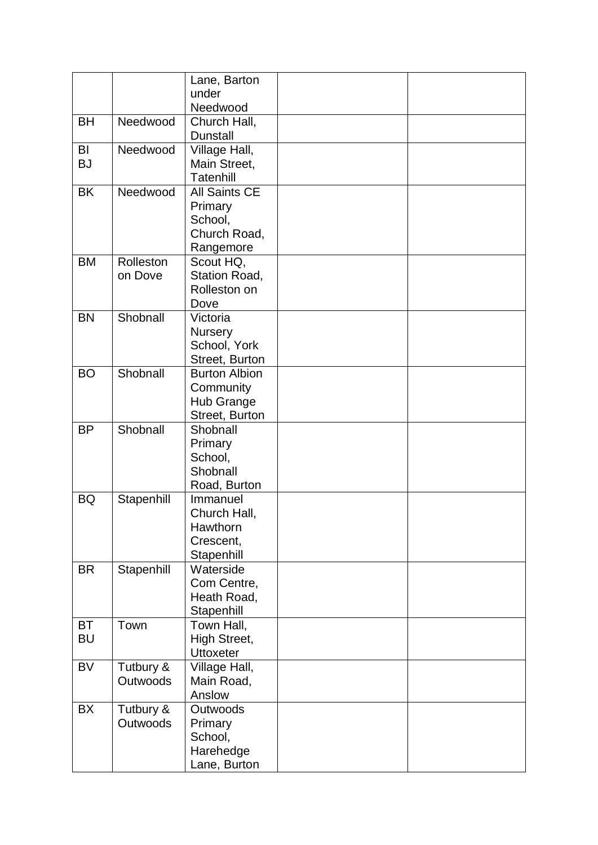|                        |                              | Lane, Barton<br>under<br>Needwood                                       |  |
|------------------------|------------------------------|-------------------------------------------------------------------------|--|
| <b>BH</b>              | Needwood                     | Church Hall,<br><b>Dunstall</b>                                         |  |
| BI<br><b>BJ</b>        | Needwood                     | Village Hall,<br>Main Street,<br>Tatenhill                              |  |
| <b>BK</b>              | Needwood                     | <b>All Saints CE</b><br>Primary<br>School,<br>Church Road,<br>Rangemore |  |
| <b>BM</b>              | Rolleston<br>on Dove         | Scout HQ,<br>Station Road,<br>Rolleston on<br>Dove                      |  |
| <b>BN</b>              | Shobnall                     | Victoria<br><b>Nursery</b><br>School, York<br>Street, Burton            |  |
| <b>BO</b>              | Shobnall                     | <b>Burton Albion</b><br>Community<br>Hub Grange<br>Street, Burton       |  |
| <b>BP</b>              | Shobnall                     | Shobnall<br>Primary<br>School,<br>Shobnall<br>Road, Burton              |  |
| <b>BQ</b>              | Stapenhill                   | Immanuel<br>Church Hall,<br>Hawthorn<br>Crescent,<br>Stapenhill         |  |
| <b>BR</b>              | Stapenhill                   | Waterside<br>Com Centre,<br>Heath Road,<br>Stapenhill                   |  |
| <b>BT</b><br><b>BU</b> | Town                         | Town Hall,<br>High Street,<br><b>Uttoxeter</b>                          |  |
| <b>BV</b>              | Tutbury &<br>Outwoods        | Village Hall,<br>Main Road,<br>Anslow                                   |  |
| <b>BX</b>              | Tutbury &<br><b>Outwoods</b> | Outwoods<br>Primary<br>School,<br>Harehedge<br>Lane, Burton             |  |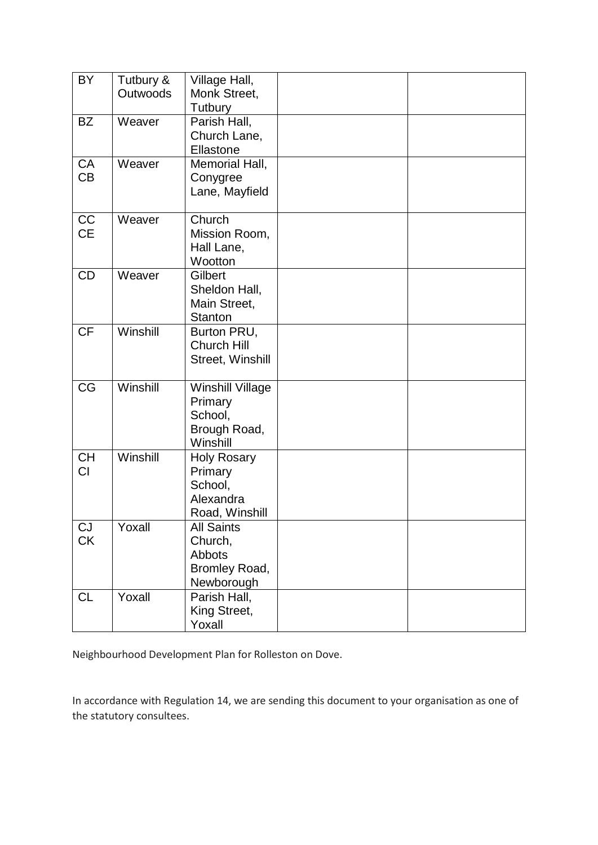| BY        | Tutbury & | Village Hall,           |  |
|-----------|-----------|-------------------------|--|
|           | Outwoods  | Monk Street,            |  |
|           |           | Tutbury                 |  |
| <b>BZ</b> | Weaver    | Parish Hall,            |  |
|           |           | Church Lane,            |  |
|           |           | Ellastone               |  |
| <b>CA</b> | Weaver    |                         |  |
| CB        |           | Memorial Hall,          |  |
|           |           | Conygree                |  |
|           |           | Lane, Mayfield          |  |
|           |           |                         |  |
| CC        | Weaver    | Church                  |  |
| <b>CE</b> |           | Mission Room,           |  |
|           |           | Hall Lane,              |  |
|           |           | Wootton                 |  |
| <b>CD</b> | Weaver    | Gilbert                 |  |
|           |           | Sheldon Hall,           |  |
|           |           | Main Street,            |  |
|           |           | <b>Stanton</b>          |  |
| <b>CF</b> | Winshill  | Burton PRU,             |  |
|           |           | <b>Church Hill</b>      |  |
|           |           | Street, Winshill        |  |
|           |           |                         |  |
| <b>CG</b> | Winshill  | <b>Winshill Village</b> |  |
|           |           | Primary                 |  |
|           |           | School,                 |  |
|           |           | Brough Road,            |  |
|           |           | Winshill                |  |
| <b>CH</b> | Winshill  | <b>Holy Rosary</b>      |  |
| CI        |           | Primary                 |  |
|           |           | School,                 |  |
|           |           | Alexandra               |  |
|           |           | Road, Winshill          |  |
| CJ        | Yoxall    | <b>All Saints</b>       |  |
| <b>CK</b> |           | Church,                 |  |
|           |           | Abbots                  |  |
|           |           | Bromley Road,           |  |
|           |           | Newborough              |  |
| <b>CL</b> | Yoxall    | Parish Hall,            |  |
|           |           | King Street,            |  |
|           |           | Yoxall                  |  |

Neighbourhood Development Plan for Rolleston on Dove.

In accordance with Regulation 14, we are sending this document to your organisation as one of the statutory consultees.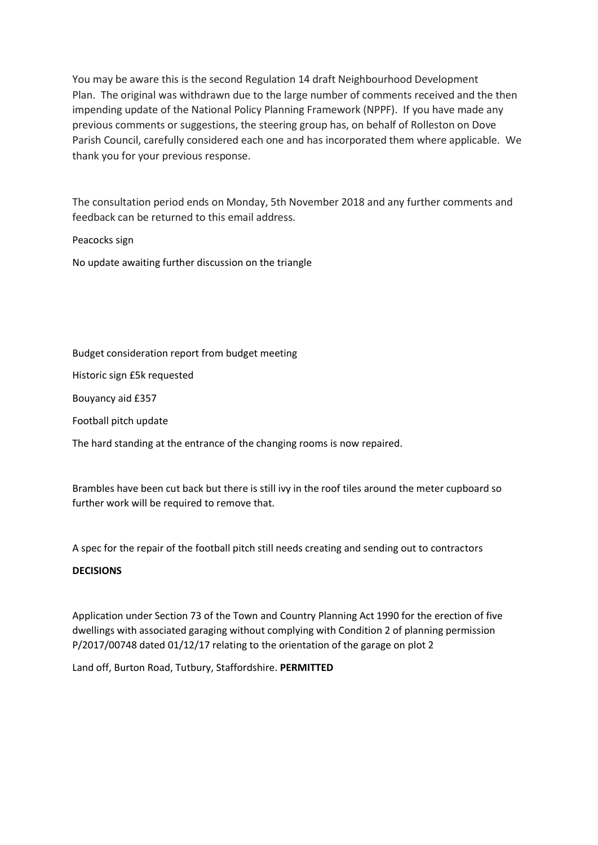You may be aware this is the second Regulation 14 draft Neighbourhood Development Plan. The original was withdrawn due to the large number of comments received and the then impending update of the National Policy Planning Framework (NPPF). If you have made any previous comments or suggestions, the steering group has, on behalf of Rolleston on Dove Parish Council, carefully considered each one and has incorporated them where applicable. We thank you for your previous response.

The consultation period ends on Monday, 5th November 2018 and any further comments and feedback can be returned to this email address.

Peacocks sign

No update awaiting further discussion on the triangle

Budget consideration report from budget meeting

Historic sign £5k requested

Bouyancy aid £357

Football pitch update

The hard standing at the entrance of the changing rooms is now repaired.

Brambles have been cut back but there is still ivy in the roof tiles around the meter cupboard so further work will be required to remove that.

A spec for the repair of the football pitch still needs creating and sending out to contractors

#### **DECISIONS**

Application under Section 73 of the Town and Country Planning Act 1990 for the erection of five dwellings with associated garaging without complying with Condition 2 of planning permission P/2017/00748 dated 01/12/17 relating to the orientation of the garage on plot 2

Land off, Burton Road, Tutbury, Staffordshire. **PERMITTED**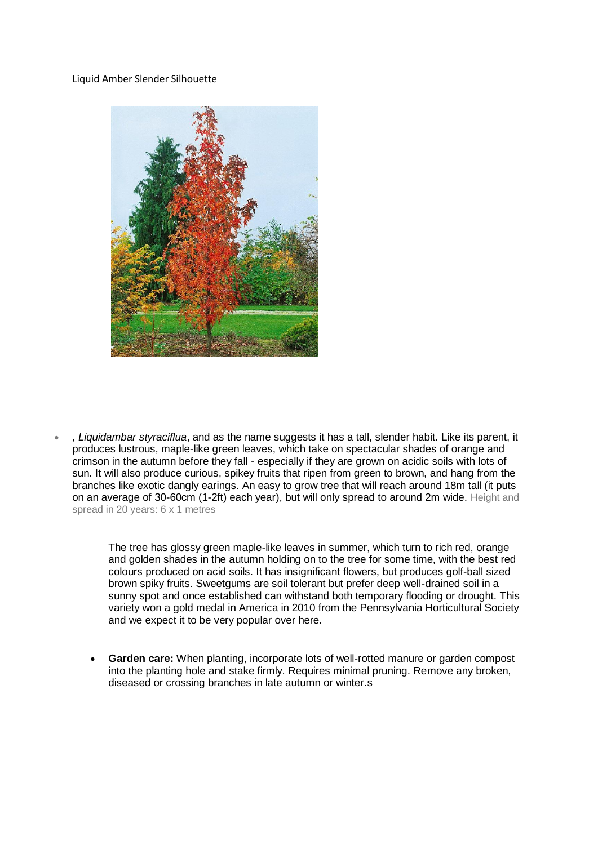#### Liquid Amber Slender Silhouette



• , *Liquidambar styraciflua*, and as the name suggests it has a tall, slender habit. Like its parent, it produces lustrous, maple-like green leaves, which take on spectacular shades of orange and crimson in the autumn before they fall - especially if they are grown on acidic soils with lots of sun. It will also produce curious, spikey fruits that ripen from green to brown, and hang from the branches like exotic dangly earings. An easy to grow tree that will reach around 18m tall (it puts on an average of 30-60cm (1-2ft) each year), but will only spread to around 2m wide. Height and spread in 20 years: 6 x 1 metres

> The tree has glossy green maple-like leaves in summer, which turn to rich red, orange and golden shades in the autumn holding on to the tree for some time, with the best red colours produced on acid soils. It has insignificant flowers, but produces golf-ball sized brown spiky fruits. Sweetgums are soil tolerant but prefer deep well-drained soil in a sunny spot and once established can withstand both temporary flooding or drought. This variety won a gold medal in America in 2010 from the Pennsylvania Horticultural Society and we expect it to be very popular over here.

• **Garden care:** When planting, incorporate lots of well-rotted manure or garden compost into the planting hole and stake firmly. Requires minimal pruning. Remove any broken, diseased or crossing branches in late autumn or winter.s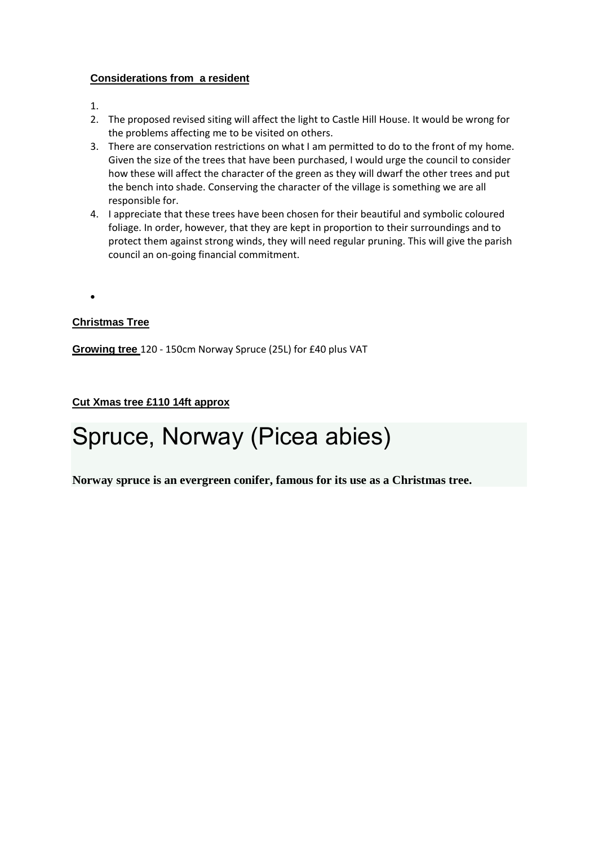#### **Considerations from a resident**

- 1.
- 2. The proposed revised siting will affect the light to Castle Hill House. It would be wrong for the problems affecting me to be visited on others.
- 3. There are conservation restrictions on what I am permitted to do to the front of my home. Given the size of the trees that have been purchased, I would urge the council to consider how these will affect the character of the green as they will dwarf the other trees and put the bench into shade. Conserving the character of the village is something we are all responsible for.
- 4. I appreciate that these trees have been chosen for their beautiful and symbolic coloured foliage. In order, however, that they are kept in proportion to their surroundings and to protect them against strong winds, they will need regular pruning. This will give the parish council an on-going financial commitment.

•

#### **Christmas Tree**

**Growing tree** 120 - 150cm Norway Spruce (25L) for £40 plus VAT

#### **Cut Xmas tree £110 14ft approx**

## Spruce, Norway (Picea abies)

**Norway spruce is an evergreen conifer, famous for its use as a Christmas tree.**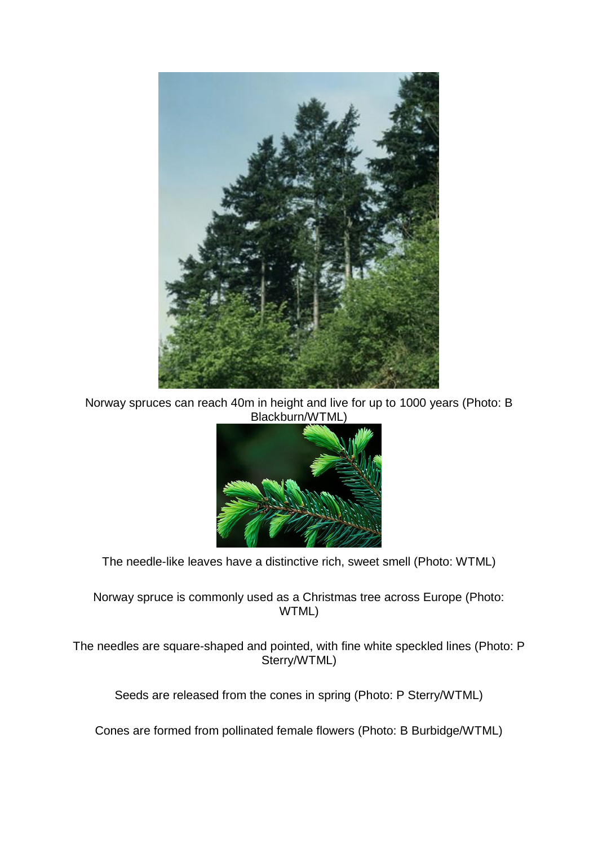

Norway spruces can reach 40m in height and live for up to 1000 years (Photo: B Blackburn/WTML)



The needle-like leaves have a distinctive rich, sweet smell (Photo: WTML)

Norway spruce is commonly used as a Christmas tree across Europe (Photo: WTML)

The needles are square-shaped and pointed, with fine white speckled lines (Photo: P Sterry/WTML)

Seeds are released from the cones in spring (Photo: P Sterry/WTML)

Cones are formed from pollinated female flowers (Photo: B Burbidge/WTML)